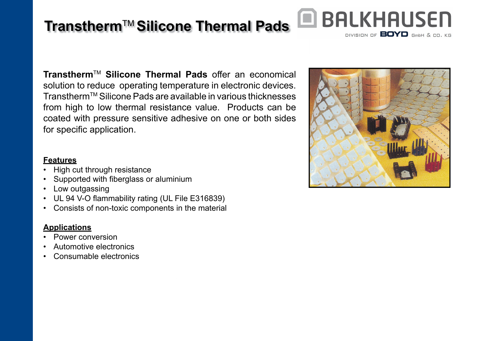# **Transtherm**TM **Silicone Thermal Pads**

**Transtherm**TM **Silicone Thermal Pads** offer an economical solution to reduce operating temperature in electronic devices. Transtherm™ Silicone Pads are available in various thicknesses from high to low thermal resistance value. Products can be coated with pressure sensitive adhesive on one or both sides for specific application.

## **Features**

- High cut through resistance
- $\,$  Supported with fiberglass or aluminium
- Low outgassing
- UL 94 V-O flammability rating (UL File E316839)
- Consists of non-toxic components in the material

## **Applications**

- Power conversion
- Automotive electronics
- Consumable electronics



**Q BALKHAUSEN** 

DIVISION OF **BOYD** GmbH & CO. KG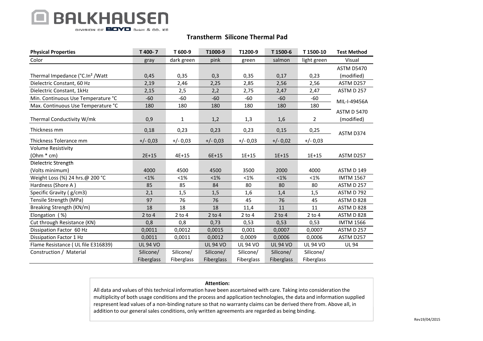## **BALKHAUSEN** DIVISION OF **BOYD** GmbH & CO. KG

### Transtherm Silicone Thermal Pad

| <b>Physical Properties</b>                   | T 400-7         | T 600-9      | T1000-9         | T1200-9         | T 1500-6        | T1500-10        | <b>Test Method</b> |
|----------------------------------------------|-----------------|--------------|-----------------|-----------------|-----------------|-----------------|--------------------|
| Color                                        | gray            | dark green   | pink            | green           | salmon          | light green     | Visual             |
|                                              |                 |              |                 |                 |                 |                 | <b>ASTM D5470</b>  |
| Thermal Impedance (°C.In <sup>2</sup> / Watt | 0,45            | 0,35         | 0,3             | 0,35            | 0,17            | 0,23            | (modified)         |
| Dielectric Constant, 60 Hz                   | 2,19            | 2,46         | 2,25            | 2,85            | 2,56            | 2,56            | ASTM D257          |
| Dielectric Constant, 1kHz                    | 2,15            | 2,5          | 2,2             | 2,75            | 2,47            | 2,47            | ASTM D 257         |
| Min. Continuous Use Temperature °C           | $-60$           | $-60$        | $-60$           | $-60$           | $-60$           | $-60$           | MIL-I-49456A       |
| Max. Continuous Use Temperature °C           | 180             | 180          | 180             | 180             | 180             | 180             |                    |
|                                              |                 |              |                 |                 |                 |                 | <b>ASTM D 5470</b> |
| Thermal Conductivity W/mk                    | 0,9             | $\mathbf{1}$ | 1,2             | 1,3             | 1,6             | 2               | (modified)         |
| Thickness mm                                 | 0,18            | 0,23         | 0,23            | 0,23            | 0,15            | 0,25            | ASTM D374          |
| Thickness Tolerance mm                       | $+/- 0.03$      | $+/- 0.03$   | $+/- 0.03$      | $+/- 0.03$      | $+/- 0.02$      | $+/- 0.03$      |                    |
| <b>Volume Resistivity</b>                    |                 |              |                 |                 |                 |                 |                    |
| $(Ohm * cm)$                                 | $2E+15$         | $4E + 15$    | 6E+15           | $1E+15$         | $1E+15$         | $1E + 15$       | ASTM D257          |
| Dielectric Strength                          |                 |              |                 |                 |                 |                 |                    |
| (Volts minimum)                              | 4000            | 4500         | 4500            | 3500            | 2000            | 4000            | ASTM D 149         |
| Weight Loss (%) 24 hrs.@ 200 °C              | $< 1\%$         | $< 1\%$      | $< 1\%$         | < 1%            | $< 1\%$         | $< 1\%$         | <b>IMTM 1567</b>   |
| Hardness (Shore A)                           | 85              | 85           | 84              | 80              | 80              | 80              | ASTM D 257         |
| Specific Gravity (g/cm3)                     | 2,1             | 1,5          | 1,5             | 1,6             | 1,4             | 1,5             | ASTM D 792         |
| Tensile Strength (MPa)                       | 97              | 76           | 76              | 45              | 76              | 45              | ASTM D 828         |
| Breaking Strength (KN/m)                     | 18              | 18           | 18              | 11,4            | 11              | 11              | ASTM D 828         |
| Elongation (%)                               | $2$ to $4$      | $2$ to $4$   | $2$ to $4$      | $2$ to 4        | $2$ to 4        | $2$ to $4$      | ASTM D 828         |
| Cut through Resistance (KN)                  | 0,8             | 0,8          | 0,73            | 0,53            | 0,53            | 0,53            | <b>IMTM 1566</b>   |
| Dissipation Factor 60 Hz                     | 0,0011          | 0,0012       | 0,0015          | 0,001           | 0,0007          | 0,0007          | ASTM D 257         |
| Dissipation Factor 1 Hz                      | 0,0011          | 0,0011       | 0,0012          | 0,0009          | 0,0006          | 0,0006          | ASTM D257          |
| Flame Resistance (UL file E316839)           | <b>UL 94 VO</b> |              | <b>UL 94 VO</b> | <b>UL 94 VO</b> | <b>UL 94 VO</b> | <b>UL 94 VO</b> | <b>UL 94</b>       |
| Construction / Material                      | Silicone/       | Silicone/    | Silicone/       | Silicone/       | Silicone/       | Silicone/       |                    |
|                                              | Fiberglass      | Fiberglass   | Fiberglass      | Fiberglass      | Fiberglass      | Fiberglass      |                    |

#### Attention:

 All data and values of this technical information have been ascertained with care. Taking into consideration the multiplicity of both usage conditions and the process and application technologies, the data and information supplied respresent lead values of a non-binding nature so that no warranty claims can be derived there from. Above all, in addition to our general sales conditions, only written agreements are regarded as being binding.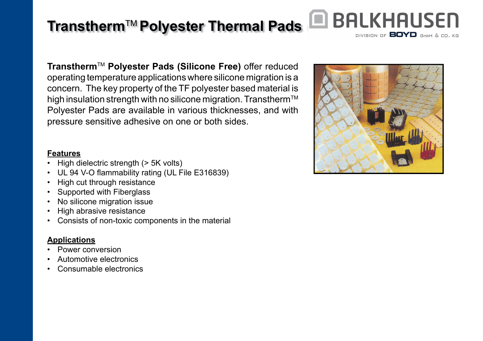# **Transtherm**TM **Polyester Thermal Pads**

**BALKHAUSEN** DIVISION OF **BOYD** GmbH & CO. KG

**Transtherm**TM **Polyester Pads (Silicone Free)** offer reduced operating temperature applications where silicone migration is a concern. The key property of the TF polyester based material is high insulation strength with no silicone migration. Transtherm<sup>™</sup> Polyester Pads are available in various thicknesses, and with pressure sensitive adhesive on one or both sides.

## **Features**

- High dielectric strength (> 5K volts)
- UL 94 V-O flammability rating (UL File E316839)
- High cut through resistance
- Supported with Fiberglass
- No silicone migration issue
- High abrasive resistance
- Consists of non-toxic components in the material

## **Applications**

- Power conversion
- Automotive electronics
- Consumable electronics